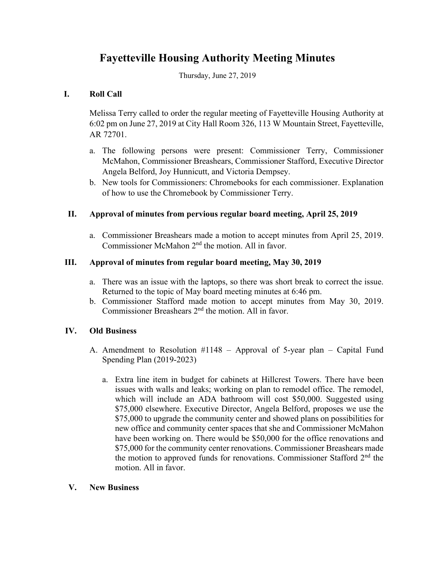# **Fayetteville Housing Authority Meeting Minutes**

Thursday, June 27, 2019

## **I. Roll Call**

Melissa Terry called to order the regular meeting of Fayetteville Housing Authority at 6:02 pm on June 27, 2019 at City Hall Room 326, 113 W Mountain Street, Fayetteville, AR 72701.

- a. The following persons were present: Commissioner Terry, Commissioner McMahon, Commissioner Breashears, Commissioner Stafford, Executive Director Angela Belford, Joy Hunnicutt, and Victoria Dempsey.
- b. New tools for Commissioners: Chromebooks for each commissioner. Explanation of how to use the Chromebook by Commissioner Terry.

## **II. Approval of minutes from pervious regular board meeting, April 25, 2019**

a. Commissioner Breashears made a motion to accept minutes from April 25, 2019. Commissioner McMahon 2nd the motion. All in favor.

#### **III. Approval of minutes from regular board meeting, May 30, 2019**

- a. There was an issue with the laptops, so there was short break to correct the issue. Returned to the topic of May board meeting minutes at 6:46 pm.
- b. Commissioner Stafford made motion to accept minutes from May 30, 2019. Commissioner Breashears 2nd the motion. All in favor.

## **IV. Old Business**

- A. Amendment to Resolution #1148 Approval of 5-year plan Capital Fund Spending Plan (2019-2023)
	- a. Extra line item in budget for cabinets at Hillcrest Towers. There have been issues with walls and leaks; working on plan to remodel office. The remodel, which will include an ADA bathroom will cost \$50,000. Suggested using \$75,000 elsewhere. Executive Director, Angela Belford, proposes we use the \$75,000 to upgrade the community center and showed plans on possibilities for new office and community center spaces that she and Commissioner McMahon have been working on. There would be \$50,000 for the office renovations and \$75,000 for the community center renovations. Commissioner Breashears made the motion to approved funds for renovations. Commissioner Stafford 2<sup>nd</sup> the motion. All in favor.

#### **V. New Business**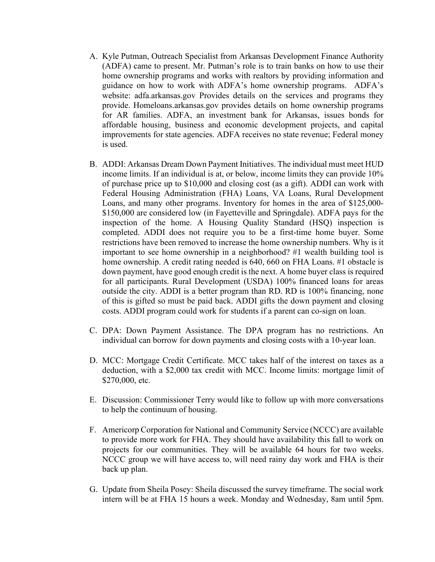- A. Kyle Putman, Outreach Specialist from Arkansas Development Finance Authority (ADFA) came to present. Mr. Putman's role is to train banks on how to use their home ownership programs and works with realtors by providing information and guidance on how to work with ADFA's home ownership programs. ADFA's website: adfa.arkansas.gov Provides details on the services and programs they provide. Homeloans.arkansas.gov provides details on home ownership programs for AR families. ADFA, an investment bank for Arkansas, issues bonds for affordable housing, business and economic development projects, and capital improvements for state agencies. ADFA receives no state revenue; Federal money is used.
- B. ADDI: Arkansas Dream Down Payment Initiatives. The individual must meet HUD income limits. If an individual is at, or below, income limits they can provide 10% of purchase price up to \$10,000 and closing cost (as a gift). ADDI can work with Federal Housing Administration (FHA) Loans, VA Loans, Rural Development Loans, and many other programs. Inventory for homes in the area of \$125,000- \$150,000 are considered low (in Fayetteville and Springdale). ADFA pays for the inspection of the home. A Housing Quality Standard (HSQ) inspection is completed. ADDI does not require you to be a first-time home buyer. Some restrictions have been removed to increase the home ownership numbers. Why is it important to see home ownership in a neighborhood? #1 wealth building tool is home ownership. A credit rating needed is 640, 660 on FHA Loans. #1 obstacle is down payment, have good enough credit is the next. A home buyer class is required for all participants. Rural Development (USDA) 100% financed loans for areas outside the city. ADDI is a better program than RD. RD is 100% financing, none of this is gifted so must be paid back. ADDI gifts the down payment and closing costs. ADDI program could work for students if a parent can co-sign on loan.
- C. DPA: Down Payment Assistance. The DPA program has no restrictions. An individual can borrow for down payments and closing costs with a 10-year loan.
- D. MCC: Mortgage Credit Certificate. MCC takes half of the interest on taxes as a deduction, with a \$2,000 tax credit with MCC. Income limits: mortgage limit of \$270,000, etc.
- E. Discussion: Commissioner Terry would like to follow up with more conversations to help the continuum of housing.
- F. Americorp Corporation for National and Community Service (NCCC) are available to provide more work for FHA. They should have availability this fall to work on projects for our communities. They will be available 64 hours for two weeks. NCCC group we will have access to, will need rainy day work and FHA is their back up plan.
- G. Update from Sheila Posey: Sheila discussed the survey timeframe. The social work intern will be at FHA 15 hours a week. Monday and Wednesday, 8am until 5pm.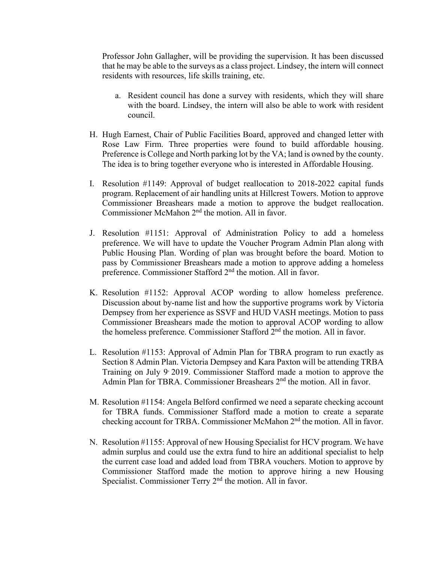Professor John Gallagher, will be providing the supervision. It has been discussed that he may be able to the surveys as a class project. Lindsey, the intern will connect residents with resources, life skills training, etc.

- a. Resident council has done a survey with residents, which they will share with the board. Lindsey, the intern will also be able to work with resident council.
- H. Hugh Earnest, Chair of Public Facilities Board, approved and changed letter with Rose Law Firm. Three properties were found to build affordable housing. Preference is College and North parking lot by the VA; land is owned by the county. The idea is to bring together everyone who is interested in Affordable Housing.
- I. Resolution #1149: Approval of budget reallocation to 2018-2022 capital funds program. Replacement of air handling units at Hillcrest Towers. Motion to approve Commissioner Breashears made a motion to approve the budget reallocation. Commissioner McMahon 2nd the motion. All in favor.
- J. Resolution #1151: Approval of Administration Policy to add a homeless preference. We will have to update the Voucher Program Admin Plan along with Public Housing Plan. Wording of plan was brought before the board. Motion to pass by Commissioner Breashears made a motion to approve adding a homeless preference. Commissioner Stafford 2nd the motion. All in favor.
- K. Resolution #1152: Approval ACOP wording to allow homeless preference. Discussion about by-name list and how the supportive programs work by Victoria Dempsey from her experience as SSVF and HUD VASH meetings. Motion to pass Commissioner Breashears made the motion to approval ACOP wording to allow the homeless preference. Commissioner Stafford 2nd the motion. All in favor.
- L. Resolution #1153: Approval of Admin Plan for TBRA program to run exactly as Section 8 Admin Plan. Victoria Dempsey and Kara Paxton will be attending TRBA Training on July 9, 2019. Commissioner Stafford made a motion to approve the Admin Plan for TBRA. Commissioner Breashears 2<sup>nd</sup> the motion. All in favor.
- M. Resolution #1154: Angela Belford confirmed we need a separate checking account for TBRA funds. Commissioner Stafford made a motion to create a separate checking account for TRBA. Commissioner McMahon 2<sup>nd</sup> the motion. All in favor.
- N. Resolution #1155: Approval of new Housing Specialist for HCV program. We have admin surplus and could use the extra fund to hire an additional specialist to help the current case load and added load from TBRA vouchers. Motion to approve by Commissioner Stafford made the motion to approve hiring a new Housing Specialist. Commissioner Terry 2<sup>nd</sup> the motion. All in favor.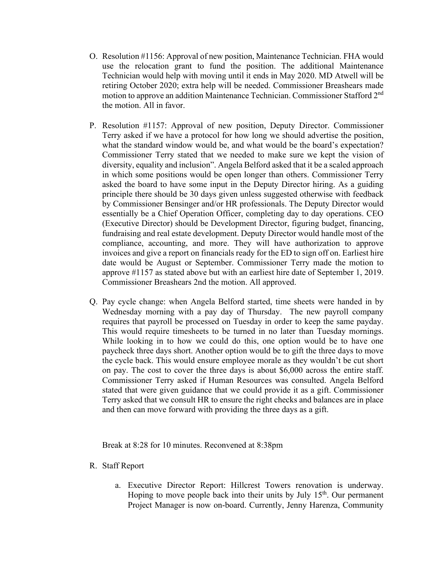- O. Resolution #1156: Approval of new position, Maintenance Technician. FHA would use the relocation grant to fund the position. The additional Maintenance Technician would help with moving until it ends in May 2020. MD Atwell will be retiring October 2020; extra help will be needed. Commissioner Breashears made motion to approve an addition Maintenance Technician. Commissioner Stafford 2nd the motion. All in favor.
- P. Resolution #1157: Approval of new position, Deputy Director. Commissioner Terry asked if we have a protocol for how long we should advertise the position, what the standard window would be, and what would be the board's expectation? Commissioner Terry stated that we needed to make sure we kept the vision of diversity, equality and inclusion". Angela Belford asked that it be a scaled approach in which some positions would be open longer than others. Commissioner Terry asked the board to have some input in the Deputy Director hiring. As a guiding principle there should be 30 days given unless suggested otherwise with feedback by Commissioner Bensinger and/or HR professionals. The Deputy Director would essentially be a Chief Operation Officer, completing day to day operations. CEO (Executive Director) should be Development Director, figuring budget, financing, fundraising and real estate development. Deputy Director would handle most of the compliance, accounting, and more. They will have authorization to approve invoices and give a report on financials ready for the ED to sign off on. Earliest hire date would be August or September. Commissioner Terry made the motion to approve #1157 as stated above but with an earliest hire date of September 1, 2019. Commissioner Breashears 2nd the motion. All approved.
- Q. Pay cycle change: when Angela Belford started, time sheets were handed in by Wednesday morning with a pay day of Thursday. The new payroll company requires that payroll be processed on Tuesday in order to keep the same payday. This would require timesheets to be turned in no later than Tuesday mornings. While looking in to how we could do this, one option would be to have one paycheck three days short. Another option would be to gift the three days to move the cycle back. This would ensure employee morale as they wouldn't be cut short on pay. The cost to cover the three days is about \$6,000 across the entire staff. Commissioner Terry asked if Human Resources was consulted. Angela Belford stated that were given guidance that we could provide it as a gift. Commissioner Terry asked that we consult HR to ensure the right checks and balances are in place and then can move forward with providing the three days as a gift.

Break at 8:28 for 10 minutes. Reconvened at 8:38pm

- R. Staff Report
	- a. Executive Director Report: Hillcrest Towers renovation is underway. Hoping to move people back into their units by July 15<sup>th</sup>. Our permanent Project Manager is now on-board. Currently, Jenny Harenza, Community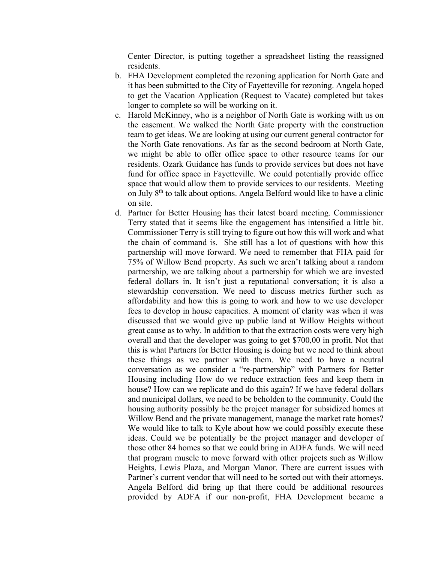Center Director, is putting together a spreadsheet listing the reassigned residents.

- b. FHA Development completed the rezoning application for North Gate and it has been submitted to the City of Fayetteville for rezoning. Angela hoped to get the Vacation Application (Request to Vacate) completed but takes longer to complete so will be working on it.
- c. Harold McKinney, who is a neighbor of North Gate is working with us on the easement. We walked the North Gate property with the construction team to get ideas. We are looking at using our current general contractor for the North Gate renovations. As far as the second bedroom at North Gate, we might be able to offer office space to other resource teams for our residents. Ozark Guidance has funds to provide services but does not have fund for office space in Fayetteville. We could potentially provide office space that would allow them to provide services to our residents. Meeting on July  $8<sup>th</sup>$  to talk about options. Angela Belford would like to have a clinic on site.
- d. Partner for Better Housing has their latest board meeting. Commissioner Terry stated that it seems like the engagement has intensified a little bit. Commissioner Terry is still trying to figure out how this will work and what the chain of command is. She still has a lot of questions with how this partnership will move forward. We need to remember that FHA paid for 75% of Willow Bend property. As such we aren't talking about a random partnership, we are talking about a partnership for which we are invested federal dollars in. It isn't just a reputational conversation; it is also a stewardship conversation. We need to discuss metrics further such as affordability and how this is going to work and how to we use developer fees to develop in house capacities. A moment of clarity was when it was discussed that we would give up public land at Willow Heights without great cause as to why. In addition to that the extraction costs were very high overall and that the developer was going to get \$700,00 in profit. Not that this is what Partners for Better Housing is doing but we need to think about these things as we partner with them. We need to have a neutral conversation as we consider a "re-partnership" with Partners for Better Housing including How do we reduce extraction fees and keep them in house? How can we replicate and do this again? If we have federal dollars and municipal dollars, we need to be beholden to the community. Could the housing authority possibly be the project manager for subsidized homes at Willow Bend and the private management, manage the market rate homes? We would like to talk to Kyle about how we could possibly execute these ideas. Could we be potentially be the project manager and developer of those other 84 homes so that we could bring in ADFA funds. We will need that program muscle to move forward with other projects such as Willow Heights, Lewis Plaza, and Morgan Manor. There are current issues with Partner's current vendor that will need to be sorted out with their attorneys. Angela Belford did bring up that there could be additional resources provided by ADFA if our non-profit, FHA Development became a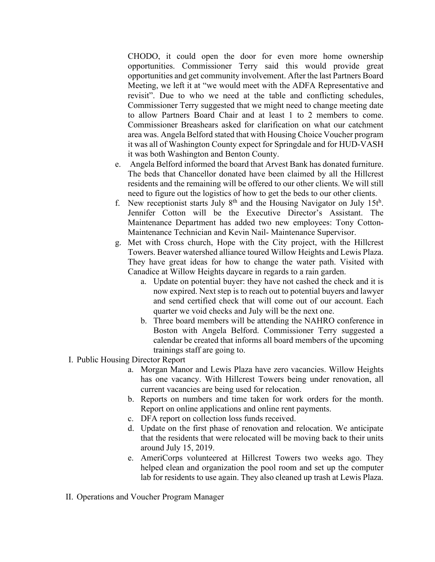CHODO, it could open the door for even more home ownership opportunities. Commissioner Terry said this would provide great opportunities and get community involvement. After the last Partners Board Meeting, we left it at "we would meet with the ADFA Representative and revisit". Due to who we need at the table and conflicting schedules, Commissioner Terry suggested that we might need to change meeting date to allow Partners Board Chair and at least 1 to 2 members to come. Commissioner Breashears asked for clarification on what our catchment area was. Angela Belford stated that with Housing Choice Voucher program it was all of Washington County expect for Springdale and for HUD-VASH it was both Washington and Benton County.

- e. Angela Belford informed the board that Arvest Bank has donated furniture. The beds that Chancellor donated have been claimed by all the Hillcrest residents and the remaining will be offered to our other clients. We will still need to figure out the logistics of how to get the beds to our other clients.
- f. New receptionist starts July  $8<sup>th</sup>$  and the Housing Navigator on July 15 $t<sup>h</sup>$ . Jennifer Cotton will be the Executive Director's Assistant. The Maintenance Department has added two new employees: Tony Cotton-Maintenance Technician and Kevin Nail- Maintenance Supervisor.
- g. Met with Cross church, Hope with the City project, with the Hillcrest Towers. Beaver watershed alliance toured Willow Heights and Lewis Plaza. They have great ideas for how to change the water path. Visited with Canadice at Willow Heights daycare in regards to a rain garden.
	- a. Update on potential buyer: they have not cashed the check and it is now expired. Next step is to reach out to potential buyers and lawyer and send certified check that will come out of our account. Each quarter we void checks and July will be the next one.
	- b. Three board members will be attending the NAHRO conference in Boston with Angela Belford. Commissioner Terry suggested a calendar be created that informs all board members of the upcoming trainings staff are going to.
- I. Public Housing Director Report
	- a. Morgan Manor and Lewis Plaza have zero vacancies. Willow Heights has one vacancy. With Hillcrest Towers being under renovation, all current vacancies are being used for relocation.
	- b. Reports on numbers and time taken for work orders for the month. Report on online applications and online rent payments.
	- c. DFA report on collection loss funds received.
	- d. Update on the first phase of renovation and relocation. We anticipate that the residents that were relocated will be moving back to their units around July 15, 2019.
	- e. AmeriCorps volunteered at Hillcrest Towers two weeks ago. They helped clean and organization the pool room and set up the computer lab for residents to use again. They also cleaned up trash at Lewis Plaza.
- II. Operations and Voucher Program Manager